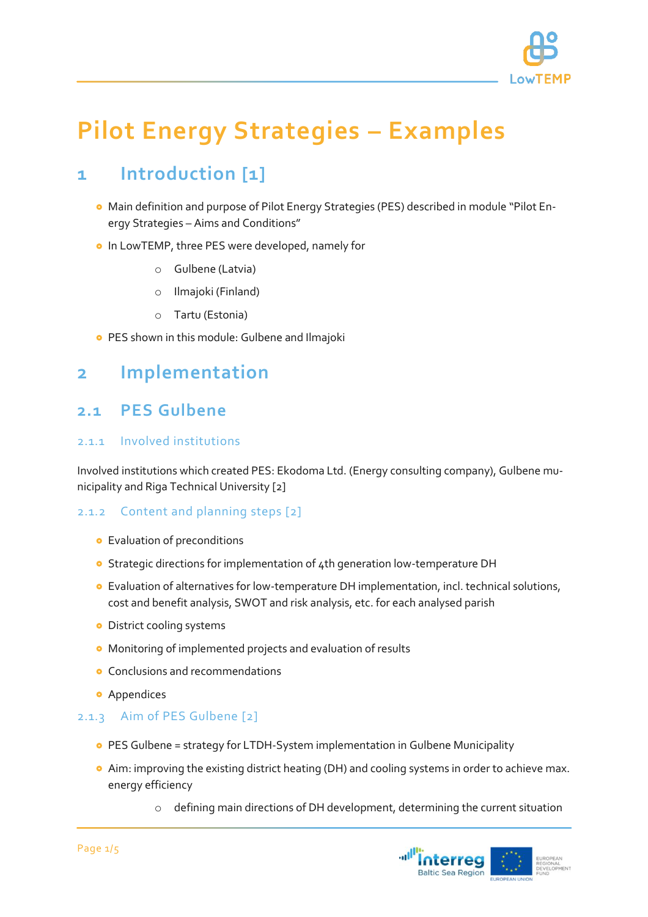

# **Pilot Energy Strategies – Examples**

# **1 Introduction [1]**

- Main definition and purpose of Pilot Energy Strategies (PES) described in module "Pilot Energy Strategies – Aims and Conditions"
- **o** In LowTEMP, three PES were developed, namely for
	- o Gulbene (Latvia)
	- o Ilmajoki (Finland)
	- o Tartu (Estonia)
- **PES shown in this module: Gulbene and Ilmajoki**

## **2 Implementation**

### **2.1 PES Gulbene**

#### 2.1.1 Involved institutions

Involved institutions which created PES: Ekodoma Ltd. (Energy consulting company), Gulbene municipality and Riga Technical University [2]

#### 2.1.2 Content and planning steps [2]

- **•** Evaluation of preconditions
- **o** Strategic directions for implementation of 4th generation low-temperature DH
- Evaluation of alternatives for low-temperature DH implementation, incl. technical solutions, cost and benefit analysis, SWOT and risk analysis, etc. for each analysed parish
- **·** District cooling systems
- Monitoring of implemented projects and evaluation of results
- **•** Conclusions and recommendations
- **•** Appendices

#### 2.1.3 Aim of PES Gulbene [2]

- PES Gulbene = strategy for LTDH-System implementation in Gulbene Municipality
- Aim: improving the existing district heating (DH) and cooling systems in order to achieve max. energy efficiency
	- o defining main directions of DH development, determining the current situation

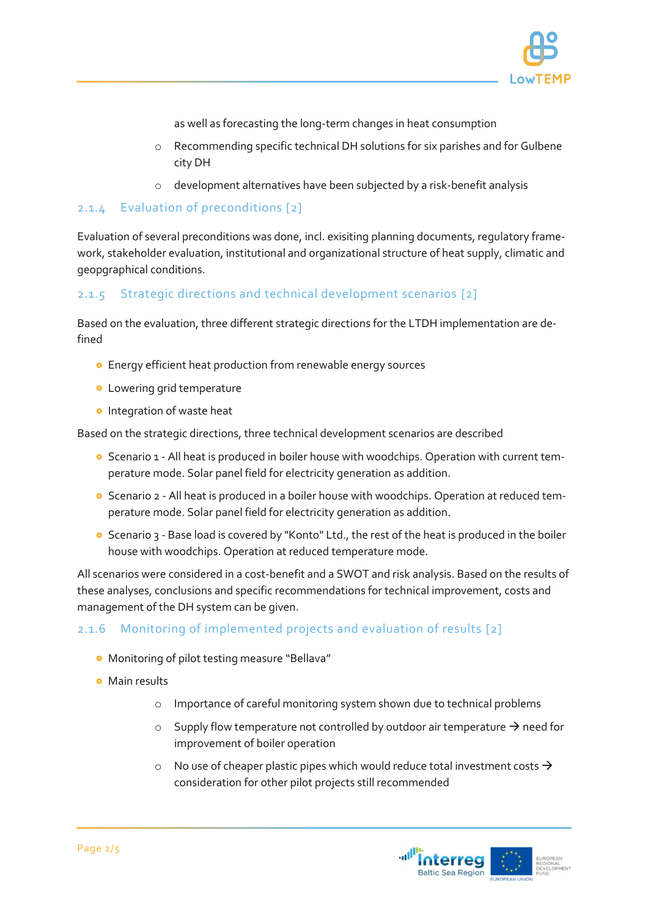

as well as forecasting the long-term changes in heat consumption

- o Recommending specific technical DH solutions for six parishes and for Gulbene city DH
- o development alternatives have been subjected by a risk-benefit analysis

#### 2.1.4 Evaluation of preconditions [2]

Evaluation of several preconditions was done, incl. exisiting planning documents, regulatory framework, stakeholder evaluation, institutional and organizational structure of heat supply, climatic and geopgraphical conditions.

#### 2.1.5 Strategic directions and technical development scenarios [2]

Based on the evaluation, three different strategic directions for the LTDH implementation are defined

- Energy efficient heat production from renewable energy sources
- **·** Lowering grid temperature
- **o** Integration of waste heat

Based on the strategic directions, three technical development scenarios are described

- **O** Scenario 1 All heat is produced in boiler house with woodchips. Operation with current temperature mode. Solar panel field for electricity generation as addition.
- Scenario 2 All heat is produced in a boiler house with woodchips. Operation at reduced temperature mode. Solar panel field for electricity generation as addition.
- **o** Scenario 3 Base load is covered by "Konto" Ltd., the rest of the heat is produced in the boiler house with woodchips. Operation at reduced temperature mode.

All scenarios were considered in a cost-benefit and a SWOT and risk analysis. Based on the results of these analyses, conclusions and specific recommendations for technical improvement, costs and management of the DH system can be given.

#### 2.1.6 Monitoring of implemented projects and evaluation of results [2]

- Monitoring of pilot testing measure "Bellava"
- **•** Main results
	- o Importance of careful monitoring system shown due to technical problems
	- $\circ$  Supply flow temperature not controlled by outdoor air temperature  $\rightarrow$  need for improvement of boiler operation
	- $\circ$  No use of cheaper plastic pipes which would reduce total investment costs  $\rightarrow$ consideration for other pilot projects still recommended

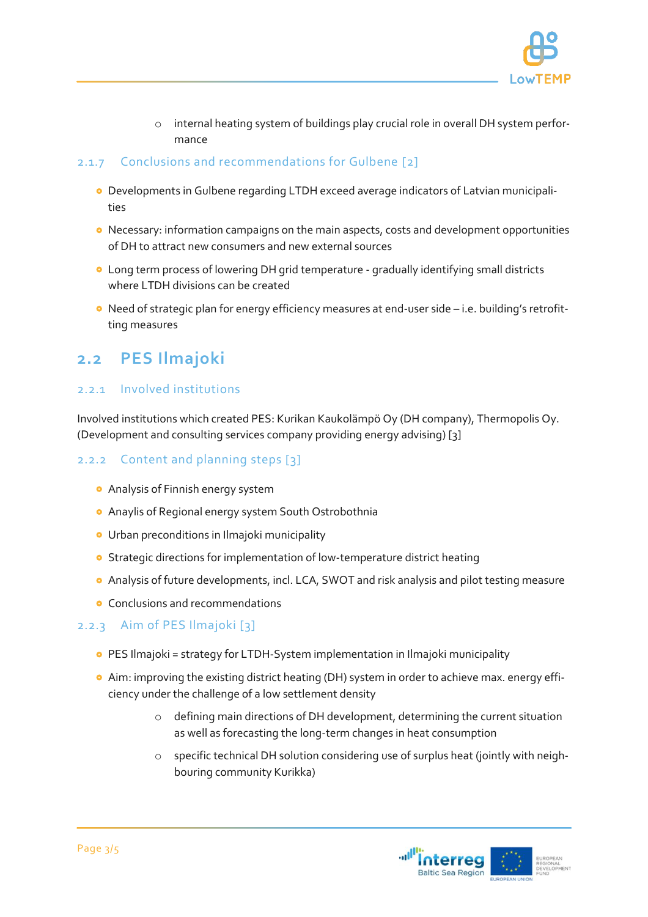

o internal heating system of buildings play crucial role in overall DH system performance

#### 2.1.7 Conclusions and recommendations for Gulbene [2]

- Developments in Gulbene regarding LTDH exceed average indicators of Latvian municipalities
- **•** Necessary: information campaigns on the main aspects, costs and development opportunities of DH to attract new consumers and new external sources
- Long term process of lowering DH grid temperature gradually identifying small districts where LTDH divisions can be created
- Need of strategic plan for energy efficiency measures at end-user side i.e. building's retrofitting measures

### **2.2 PES Ilmajoki**

#### 2.2.1 Involved institutions

Involved institutions which created PES: Kurikan Kaukolämpö Oy (DH company), Thermopolis Oy. (Development and consulting services company providing energy advising) [3]

#### 2.2.2 Content and planning steps [3]

- Analysis of Finnish energy system
- Anaylis of Regional energy system South Ostrobothnia
- **•** Urban preconditions in Ilmajoki municipality
- **o** Strategic directions for implementation of low-temperature district heating
- Analysis of future developments, incl. LCA, SWOT and risk analysis and pilot testing measure
- **•** Conclusions and recommendations

#### 2.2.3 Aim of PES Ilmajoki [3]

- **•** PES Ilmajoki = strategy for LTDH-System implementation in Ilmajoki municipality
- Aim: improving the existing district heating (DH) system in order to achieve max. energy efficiency under the challenge of a low settlement density
	- o defining main directions of DH development, determining the current situation as well as forecasting the long-term changes in heat consumption
	- o specific technical DH solution considering use of surplus heat (jointly with neighbouring community Kurikka)

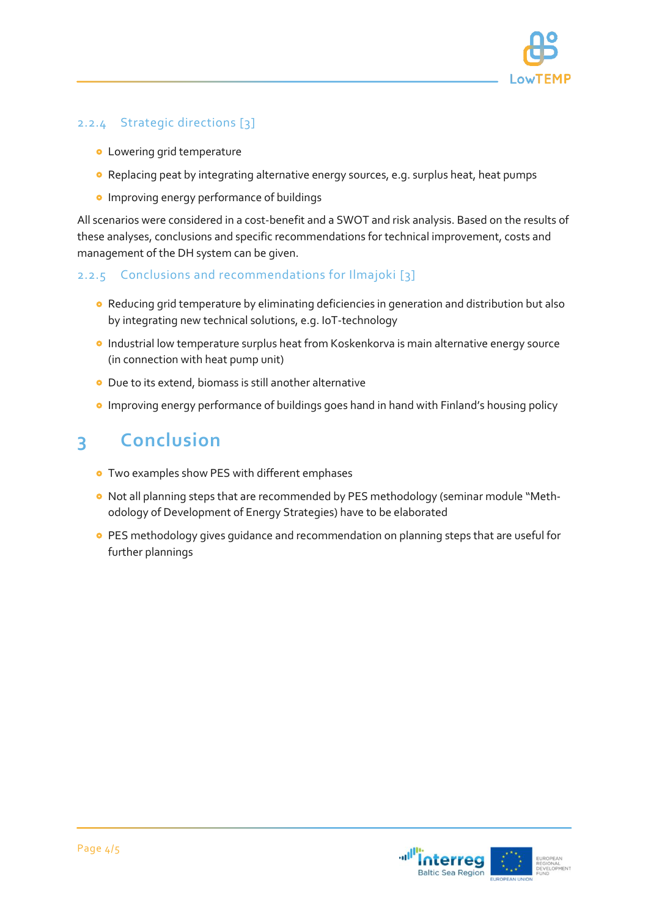

#### 2.2.4 Strategic directions [3]

- **.** Lowering grid temperature
- Replacing peat by integrating alternative energy sources, e.g. surplus heat, heat pumps
- **o** Improving energy performance of buildings

All scenarios were considered in a cost-benefit and a SWOT and risk analysis. Based on the results of these analyses, conclusions and specific recommendations for technical improvement, costs and management of the DH system can be given.

#### 2.2.5 Conclusions and recommendations for Ilmajoki [3]

- Reducing grid temperature by eliminating deficiencies in generation and distribution but also by integrating new technical solutions, e.g. IoT-technology
- **Industrial low temperature surplus heat from Koskenkorva is main alternative energy source** (in connection with heat pump unit)
- Due to its extend, biomass is still another alternative
- **•** Improving energy performance of buildings goes hand in hand with Finland's housing policy

# **3 Conclusion**

- **•** Two examples show PES with different emphases
- Not all planning steps that are recommended by PES methodology (seminar module "Methodology of Development of Energy Strategies) have to be elaborated
- **PES methodology gives guidance and recommendation on planning steps that are useful for** further plannings